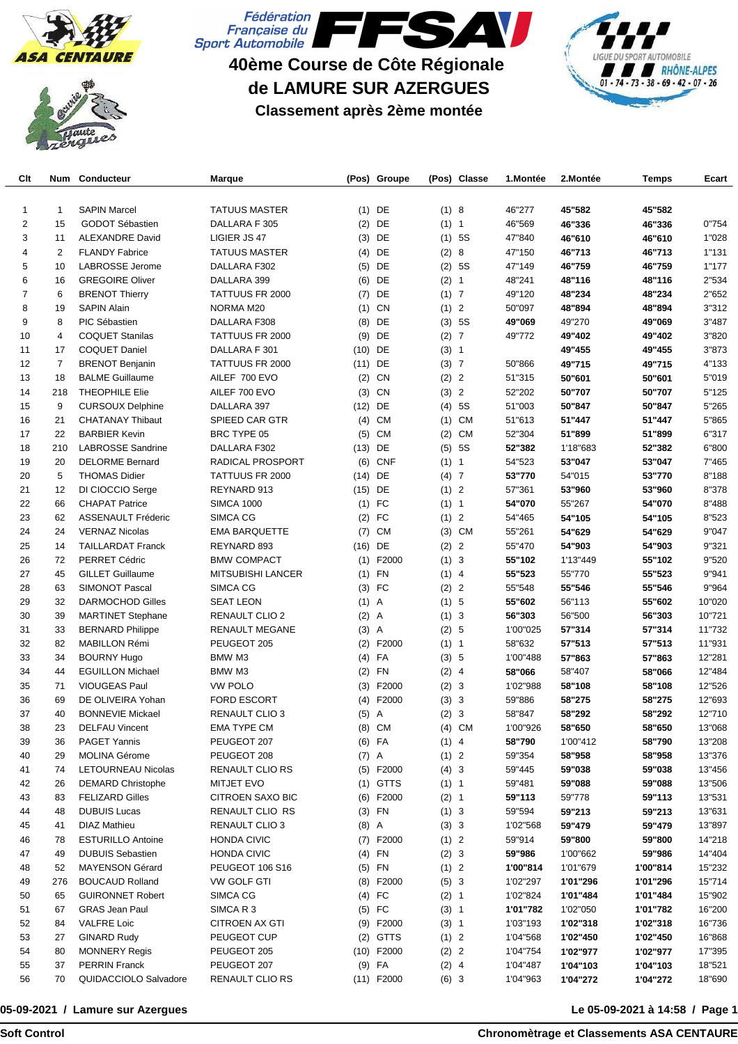





## **40ème Course de Côte Régionale de LAMURE SUR AZERGUES Classement après 2ème montée**



| Clt | Num | Conducteur                | <b>Marque</b>            |           | (Pos) Groupe |         | (Pos) Classe | 1.Montée | 2.Montée | Temps    | Ecart  |
|-----|-----|---------------------------|--------------------------|-----------|--------------|---------|--------------|----------|----------|----------|--------|
|     |     |                           |                          |           |              |         |              |          |          |          |        |
| 1   | 1   | <b>SAPIN Marcel</b>       | <b>TATUUS MASTER</b>     | (1)       | DE           | (1)8    |              | 46"277   | 45"582   | 45"582   |        |
| 2   | 15  | GODOT Sébastien           | DALLARA F 305            | (2)       | DE           | (1) 1   |              | 46"569   | 46"336   | 46"336   | 0"754  |
| 3   | 11  | <b>ALEXANDRE David</b>    | LIGIER JS 47             | (3)       | DE           |         | $(1)$ 5S     | 47"840   | 46"610   | 46"610   | 1"028  |
| 4   | 2   | <b>FLANDY Fabrice</b>     | <b>TATUUS MASTER</b>     | (4)       | DE           | (2) 8   |              | 47"150   | 46"713   | 46"713   | 1"131  |
| 5   | 10  | <b>LABROSSE Jerome</b>    | DALLARA F302             | (5)       | DE           |         | (2) 5S       | 47"149   | 46"759   | 46"759   | 1"177  |
| 6   | 16  | <b>GREGOIRE Oliver</b>    | DALLARA 399              |           | $(6)$ DE     | (2) 1   |              | 48"241   | 48"116   | 48"116   | 2"534  |
| 7   | 6   | <b>BRENOT Thierry</b>     | TATTUUS FR 2000          | (7)       | DE           | $(1)$ 7 |              | 49"120   | 48"234   | 48"234   | 2"652  |
| 8   | 19  | <b>SAPIN Alain</b>        | NORMA M20                |           | $(1)$ CN     | (1) 2   |              | 50"097   | 48"894   | 48"894   | 3"312  |
| 9   | 8   | PIC Sébastien             | DALLARA F308             | (8)       | DE           |         | (3) 5S       | 49"069   | 49"270   | 49"069   | 3"487  |
| 10  | 4   | <b>COQUET Stanilas</b>    | TATTUUS FR 2000          | (9)       | DE           | (2) 7   |              | 49"772   | 49"402   | 49"402   | 3"820  |
| 11  | 17  | <b>COQUET Daniel</b>      | DALLARA F 301            | (10)      | DE           | (3) 1   |              |          | 49"455   | 49"455   | 3"873  |
| 12  | 7   | <b>BRENOT Benjanin</b>    | TATTUUS FR 2000          | $(11)$ DE |              | (3) 7   |              | 50"866   | 49"715   | 49"715   | 4"133  |
| 13  | 18  | <b>BALME Guillaume</b>    | AILEF 700 EVO            | (2)       | CN           | (2) 2   |              | 51"315   | 50"601   | 50"601   | 5"019  |
| 14  | 218 | <b>THEOPHILE Elie</b>     | AILEF 700 EVO            | (3)       | CN           | (3) 2   |              | 52"202   | 50"707   | 50"707   | 5"125  |
| 15  | 9   | <b>CURSOUX Delphine</b>   | DALLARA 397              | $(12)$ DE |              | (4)     | 5S           | 51"003   | 50"847   | 50"847   | 5"265  |
| 16  | 21  | <b>CHATANAY Thibaut</b>   | SPIEED CAR GTR           | (4)       | <b>CM</b>    | (1)     | <b>CM</b>    | 51"613   | 51"447   | 51"447   | 5"865  |
| 17  | 22  | <b>BARBIER Kevin</b>      | <b>BRC TYPE 05</b>       | (5)       | CM           | (2)     | <b>CM</b>    | 52"304   | 51"899   | 51"899   | 6"317  |
| 18  | 210 | <b>LABROSSE Sandrine</b>  | DALLARA F302             | (13)      | DE           | (5)     | 5S           | 52"382   | 1'18"683 | 52"382   | 6"800  |
| 19  | 20  | <b>DELORME Bernard</b>    | <b>RADICAL PROSPORT</b>  | (6)       | <b>CNF</b>   | (1) 1   |              | 54"523   | 53"047   | 53"047   | 7"465  |
| 20  | 5   | <b>THOMAS Didier</b>      | TATTUUS FR 2000          | (14)      | DE           | $(4)$ 7 |              | 53"770   | 54"015   | 53"770   | 8"188  |
| 21  | 12  | DI CIOCCIO Serge          | REYNARD 913              | $(15)$ DE |              | (1) 2   |              | 57"361   | 53"960   | 53"960   | 8"378  |
| 22  | 66  | <b>CHAPAT Patrice</b>     | <b>SIMCA 1000</b>        |           | $(1)$ FC     | (1) 1   |              | 54"070   | 55"267   | 54"070   | 8"488  |
| 23  | 62  | <b>ASSENAULT Fréderic</b> | SIMCA CG                 |           | $(2)$ FC     | (1) 2   |              | 54"465   | 54"105   | 54"105   | 8"523  |
| 24  | 24  | <b>VERNAZ Nicolas</b>     | <b>EMA BARQUETTE</b>     | (7)       | <b>CM</b>    | (3)     | <b>CM</b>    | 55"261   | 54"629   | 54"629   | 9"047  |
| 25  | 14  | <b>TAILLARDAT Franck</b>  | REYNARD 893              | $(16)$ DE |              | (2) 2   |              | 55"470   | 54"903   | 54"903   | 9"321  |
| 26  | 72  | <b>PERRET Cédric</b>      | <b>BMW COMPACT</b>       | (1)       | F2000        | (1) 3   |              | 55"102   | 1'13"449 | 55"102   | 9"520  |
| 27  | 45  | <b>GILLET Guillaume</b>   | <b>MITSUBISHI LANCER</b> |           | $(1)$ FN     | $(1)$ 4 |              | 55"523   | 55"770   | 55"523   | 9"941  |
| 28  | 63  | <b>SIMONOT Pascal</b>     | SIMCA CG                 |           | $(3)$ FC     | (2) 2   |              | 55"548   | 55"546   | 55"546   | 9"964  |
| 29  | 32  | <b>DARMOCHOD Gilles</b>   | <b>SEAT LEON</b>         | $(1)$ A   |              | (1) 5   |              | 55"602   | 56"113   | 55"602   | 10"020 |
| 30  | 39  | <b>MARTINET Stephane</b>  | <b>RENAULT CLIO 2</b>    | $(2)$ A   |              | (1) 3   |              | 56"303   | 56"500   | 56"303   | 10"721 |
| 31  | 33  | <b>BERNARD Philippe</b>   | RENAULT MEGANE           | $(3)$ A   |              | (2) 5   |              | 1'00"025 | 57"314   | 57"314   | 11"732 |
| 32  | 82  | MABILLON Rémi             | PEUGEOT 205              |           | $(2)$ F2000  | (1) 1   |              | 58"632   | 57"513   | 57"513   | 11"931 |
| 33  | 34  | <b>BOURNY Hugo</b>        | BMW M3                   |           | $(4)$ FA     | (3) 5   |              | 1'00"488 | 57"863   | 57"863   | 12"281 |
| 34  | 44  | <b>EGUILLON Michael</b>   | BMW M3                   |           | $(2)$ FN     | $(2)$ 4 |              | 58"066   | 58"407   | 58"066   | 12"484 |
| 35  | 71  | VIOUGEAS Paul             | <b>VW POLO</b>           | (3)       | F2000        | (2) 3   |              | 1'02"988 | 58"108   | 58"108   | 12"526 |
| 36  | 69  | DE OLIVEIRA Yohan         | <b>FORD ESCORT</b>       |           | $(4)$ F2000  | (3) 3   |              | 59"886   | 58"275   | 58"275   | 12"693 |
| 37  | 40  | <b>BONNEVIE Mickael</b>   | RENAULT CLIO 3           | $(5)$ A   |              | (2) 3   |              | 58"847   | 58"292   | 58"292   | 12"710 |
| 38  | 23  | <b>DELFAU Vincent</b>     | <b>EMA TYPE CM</b>       | (8)       | CM           |         | (4) CM       | 1'00"926 | 58"650   | 58"650   | 13"068 |
| 39  | 36  | <b>PAGET Yannis</b>       | PEUGEOT 207              |           | $(6)$ FA     | $(1)$ 4 |              | 58"790   | 1'00"412 | 58"790   | 13"208 |
| 40  | 29  | <b>MOLINA Gérome</b>      | PEUGEOT 208              | $(7)$ A   |              | (1) 2   |              | 59"354   | 58"958   | 58"958   | 13"376 |
| 41  | 74  | LETOURNEAU Nicolas        | RENAULT CLIO RS          |           | $(5)$ F2000  | (4) 3   |              | 59"445   | 59"038   | 59"038   | 13"456 |
| 42  | 26  | <b>DEMARD Christophe</b>  | <b>MITJET EVO</b>        |           | $(1)$ GTTS   | (1) 1   |              | 59"481   | 59"088   | 59"088   | 13"506 |
| 43  | 83  | <b>FELIZARD Gilles</b>    | <b>CITROEN SAXO BIC</b>  |           | $(6)$ F2000  | (2) 1   |              | 59"113   | 59"778   | 59"113   | 13"531 |
| 44  | 48  | <b>DUBUIS Lucas</b>       | RENAULT CLIO RS          |           | $(3)$ FN     | (1) 3   |              | 59"594   | 59"213   | 59"213   | 13"631 |
| 45  | 41  | <b>DIAZ Mathieu</b>       | RENAULT CLIO 3           | $(8)$ A   |              | (3) 3   |              | 1'02"568 | 59"479   | 59"479   | 13"897 |
| 46  | 78  | <b>ESTURILLO Antoine</b>  | <b>HONDA CIVIC</b>       |           | $(7)$ F2000  | (1) 2   |              | 59"914   | 59"800   | 59"800   | 14"218 |
| 47  | 49  | <b>DUBUIS Sebastien</b>   | <b>HONDA CIVIC</b>       |           | $(4)$ FN     | (2) 3   |              | 59"986   | 1'00"662 | 59"986   | 14"404 |
| 48  | 52  | <b>MAYENSON Gérard</b>    | PEUGEOT 106 S16          |           | $(5)$ FN     | (1) 2   |              | 1'00"814 | 1'01"679 | 1'00"814 | 15"232 |
| 49  | 276 | <b>BOUCAUD Rolland</b>    | VW GOLF GTI              |           | $(8)$ F2000  | (5) 3   |              | 1'02"297 | 1'01"296 | 1'01"296 | 15"714 |
| 50  | 65  | <b>GUIRONNET Robert</b>   | SIMCA CG                 |           | $(4)$ FC     | (2) 1   |              | 1'02"824 | 1'01"484 | 1'01"484 | 15"902 |
| 51  | 67  | <b>GRAS Jean Paul</b>     | SIMCA R 3                |           | $(5)$ FC     | (3) 1   |              | 1'01"782 | 1'02"050 | 1'01"782 | 16"200 |
| 52  | 84  | <b>VALFRE Loic</b>        | CITROEN AX GTI           |           | (9) F2000    | (3) 1   |              | 1'03"193 | 1'02"318 | 1'02"318 | 16"736 |
| 53  | 27  | <b>GINARD Rudy</b>        | PEUGEOT CUP              | (2)       | <b>GTTS</b>  | (1) 2   |              | 1'04"568 | 1'02"450 | 1'02"450 | 16"868 |
| 54  | 80  | <b>MONNERY Regis</b>      | PEUGEOT 205              |           | $(10)$ F2000 | (2) 2   |              | 1'04"754 | 1'02"977 | 1'02"977 | 17"395 |
| 55  | 37  | <b>PERRIN Franck</b>      | PEUGEOT 207              |           | $(9)$ FA     | (2) 4   |              | 1'04"487 | 1'04"103 | 1'04"103 | 18"521 |
| 56  | 70  | QUIDACCIOLO Salvadore     | RENAULT CLIO RS          |           | $(11)$ F2000 | (6) 3   |              | 1'04"963 | 1'04"272 | 1'04"272 | 18"690 |

## **05-09-2021 / Lamure sur Azergues**

## **Le 05-09-2021 à 14:58 / Page 1**